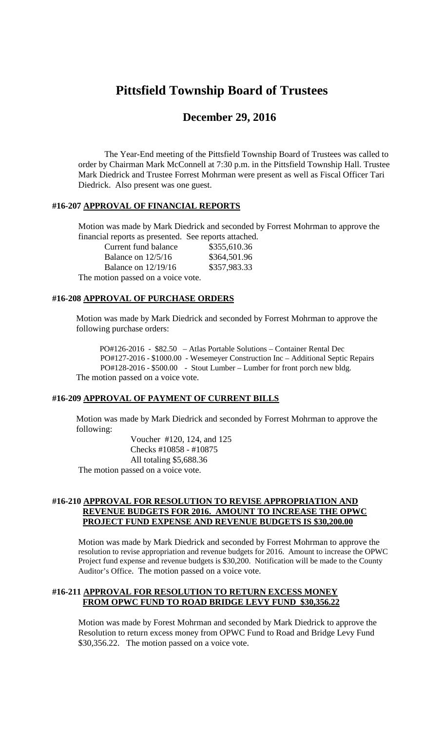# **Pittsfield Township Board of Trustees**

# **December 29, 2016**

The Year-End meeting of the Pittsfield Township Board of Trustees was called to order by Chairman Mark McConnell at 7:30 p.m. in the Pittsfield Township Hall. Trustee Mark Diedrick and Trustee Forrest Mohrman were present as well as Fiscal Officer Tari Diedrick. Also present was one guest.

#### **#16-207 APPROVAL OF FINANCIAL REPORTS**

Motion was made by Mark Diedrick and seconded by Forrest Mohrman to approve the financial reports as presented. See reports attached.

| Current fund balance               | \$355,610.36 |
|------------------------------------|--------------|
| Balance on $12/5/16$               | \$364,501.96 |
| Balance on $12/19/16$              | \$357,983.33 |
| The motion passed on a voice vote. |              |

### **#16-208 APPROVAL OF PURCHASE ORDERS**

Motion was made by Mark Diedrick and seconded by Forrest Mohrman to approve the following purchase orders:

PO#126-2016 - \$82.50 – Atlas Portable Solutions – Container Rental Dec PO#127-2016 - \$1000.00 - Wesemeyer Construction Inc – Additional Septic Repairs PO#128-2016 - \$500.00 - Stout Lumber – Lumber for front porch new bldg. The motion passed on a voice vote.

## **#16-209 APPROVAL OF PAYMENT OF CURRENT BILLS**

Motion was made by Mark Diedrick and seconded by Forrest Mohrman to approve the following:

Voucher #120, 124, and 125 Checks #10858 - #10875 All totaling \$5,688.36 The motion passed on a voice vote.

#### **#16-210 APPROVAL FOR RESOLUTION TO REVISE APPROPRIATION AND REVENUE BUDGETS FOR 2016. AMOUNT TO INCREASE THE OPWC PROJECT FUND EXPENSE AND REVENUE BUDGETS IS \$30,200.00**

Motion was made by Mark Diedrick and seconded by Forrest Mohrman to approve the resolution to revise appropriation and revenue budgets for 2016. Amount to increase the OPWC Project fund expense and revenue budgets is \$30,200. Notification will be made to the County Auditor's Office. The motion passed on a voice vote.

#### **#16-211 APPROVAL FOR RESOLUTION TO RETURN EXCESS MONEY FROM OPWC FUND TO ROAD BRIDGE LEVY FUND \$30,356.22**

Motion was made by Forest Mohrman and seconded by Mark Diedrick to approve the Resolution to return excess money from OPWC Fund to Road and Bridge Levy Fund \$30,356.22. The motion passed on a voice vote.